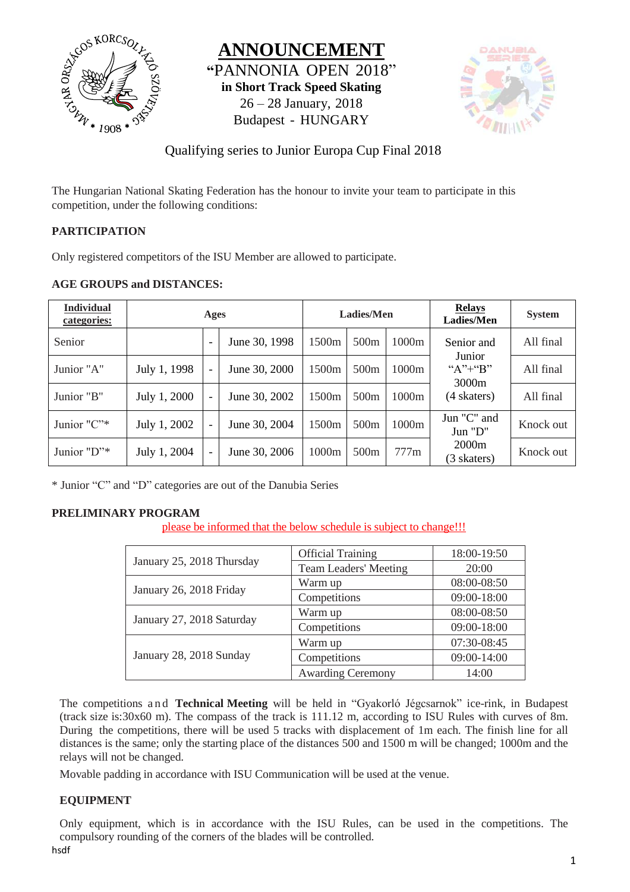





## Qualifying series to Junior Europa Cup Final 2018

The Hungarian National Skating Federation has the honour to invite your team to participate in this competition, under the following conditions:

## **PARTICIPATION**

Only registered competitors of the ISU Member are allowed to participate.

#### **AGE GROUPS and DISTANCES:**

| <b>Individual</b><br>categories: | Ages         |                          | <b>Ladies/Men</b> |                   | <b>Relays</b><br>Ladies/Men | <b>System</b> |                                        |           |
|----------------------------------|--------------|--------------------------|-------------------|-------------------|-----------------------------|---------------|----------------------------------------|-----------|
| Senior                           |              | $\overline{\phantom{a}}$ | June 30, 1998     | 1500 <sub>m</sub> | 500 <sub>m</sub>            | 1000m         | Senior and                             | All final |
| Junior "A"                       | July 1, 1998 | $\overline{\phantom{a}}$ | June 30, 2000     | 1500 <sub>m</sub> | 500m                        | 1000m         | Junior<br>" $A$ " $+$ " $B$ "<br>3000m | All final |
| Junior "B"                       | July 1, 2000 | $\overline{\phantom{a}}$ | June 30, 2002     | 1500 <sub>m</sub> | 500 <sub>m</sub>            | 1000m         | (4 skaters)                            | All final |
| Junior $"C"^*$                   | July 1, 2002 | $\overline{\phantom{a}}$ | June 30, 2004     | 1500 <sub>m</sub> | 500 <sub>m</sub>            | 1000m         | Jun "C" and<br>Jun "D"                 | Knock out |
| Junior "D"*                      | July 1, 2004 | $\blacksquare$           | June 30, 2006     | 1000m             | 500 <sub>m</sub>            | 777m          | 2000m<br>(3 skaters)                   | Knock out |

\* Junior "C" and "D" categories are out of the Danubia Series

#### **PRELIMINARY PROGRAM**

please be informed that the below schedule is subject to change!!!

|                           | <b>Official Training</b>                                                                                      | 18:00-19:50 |
|---------------------------|---------------------------------------------------------------------------------------------------------------|-------------|
| January 25, 2018 Thursday | <b>Team Leaders' Meeting</b><br>Warm up<br>Competitions<br>Warm up<br>Competitions<br>Warm up<br>Competitions | 20:00       |
| January 26, 2018 Friday   |                                                                                                               | 08:00-08:50 |
|                           |                                                                                                               | 09:00-18:00 |
| January 27, 2018 Saturday |                                                                                                               | 08:00-08:50 |
|                           |                                                                                                               | 09:00-18:00 |
|                           |                                                                                                               | 07:30-08:45 |
| January 28, 2018 Sunday   |                                                                                                               | 09:00-14:00 |
|                           | <b>Awarding Ceremony</b>                                                                                      | 14:00       |

The competitions and **Technical Meeting** will be held in "Gyakorló Jégcsarnok" ice-rink, in Budapest (track size is:30x60 m). The compass of the track is 111.12 m, according to ISU Rules with curves of 8m. During the competitions, there will be used 5 tracks with displacement of 1m each. The finish line for all distances is the same; only the starting place of the distances 500 and 1500 m will be changed; 1000m and the relays will not be changed.

Movable padding in accordance with ISU Communication will be used at the venue.

#### **EQUIPMENT**

Only equipment, which is in accordance with the ISU Rules, can be used in the competitions. The compulsory rounding of the corners of the blades will be controlled.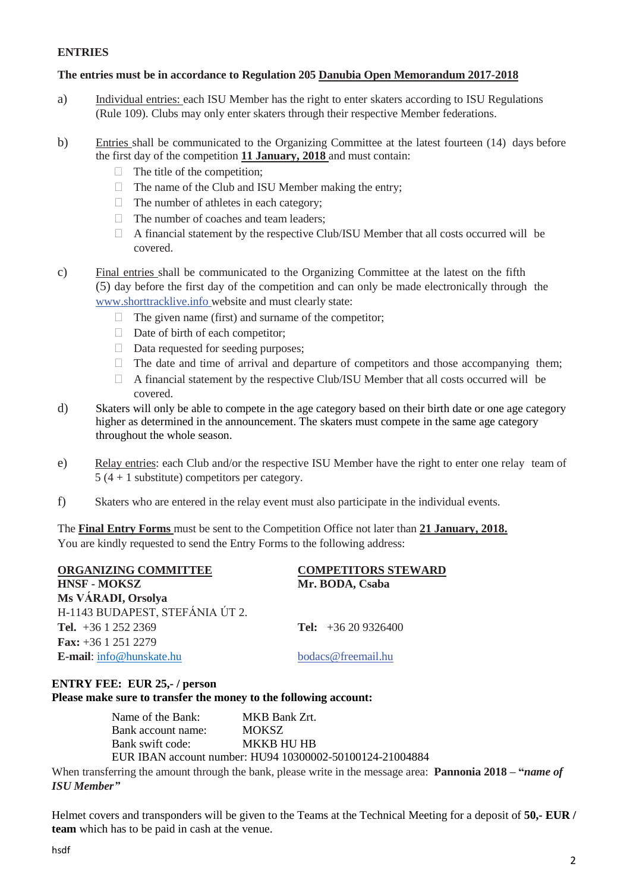#### **ENTRIES**

#### **The entries must be in accordance to Regulation 205 Danubia Open Memorandum 2017-2018**

- a) Individual entries: each ISU Member has the right to enter skaters according to ISU Regulations (Rule 109). Clubs may only enter skaters through their respective Member federations.
- b) Entries shall be communicated to the Organizing Committee at the latest fourteen (14) days before the first day of the competition **11 January, 2018** and must contain:
	- $\Box$  The title of the competition;
	- $\Box$  The name of the Club and ISU Member making the entry;
	- $\Box$  The number of athletes in each category;
	- $\Box$  The number of coaches and team leaders:
	- $\Box$  A financial statement by the respective Club/ISU Member that all costs occurred will be covered.
- c) Final entries shall be communicated to the Organizing Committee at the latest on the fifth (5) day before the first day of the competition and can only be made electronically through the [www.shorttracklive.info](http://www.shorttracklive.info/) website and must clearly state:
	- $\Box$  The given name (first) and surname of the competitor;
	- $\Box$  Date of birth of each competitor;
	- $\Box$  Data requested for seeding purposes;
	- $\Box$  The date and time of arrival and departure of competitors and those accompanying them;
	- $\Box$  A financial statement by the respective Club/ISU Member that all costs occurred will be covered.
- d) Skaters will only be able to compete in the age category based on their birth date or one age category higher as determined in the announcement. The skaters must compete in the same age category throughout the whole season.
- e) Relay entries: each Club and/or the respective ISU Member have the right to enter one relay team of 5 (4 + 1 substitute) competitors per category.
- f) Skaters who are entered in the relay event must also participate in the individual events.

The **Final Entry Forms** must be sent to the Competition Office not later than **21 January, 2018.** You are kindly requested to send the Entry Forms to the following address:

| ORGANIZING COMMITTEE            | <b>COMPETITORS STEWARD</b> |
|---------------------------------|----------------------------|
| <b>HNSF - MOKSZ</b>             | Mr. BODA, Csaba            |
| Ms VÁRADI, Orsolya              |                            |
| H-1143 BUDAPEST, STEFÁNIA ÚT 2. |                            |
| Tel. $+36$ 1 252 2369           | Tel: $+36209326400$        |
| <b>Fax:</b> $+36$ 1 251 2279    |                            |
| E-mail: info@hunskate.hu        | bodacs@freemail.hu         |

#### **ENTRY FEE: EUR 25,- / person Please make sure to transfer the money to the following account:**

| Name of the Bank:  | MKB Bank Zrt.                                            |
|--------------------|----------------------------------------------------------|
| Bank account name: | MOKSZ.                                                   |
| Bank swift code:   | <b>MKKB HU HB</b>                                        |
|                    | EUR IBAN account number: HU94 10300002-50100124-21004884 |

When transferring the amount through the bank, please write in the message area: **Pannonia 2018 – "***name of ISU Member"*

Helmet covers and transponders will be given to the Teams at the Technical Meeting for a deposit of **50,- EUR / team** which has to be paid in cash at the venue.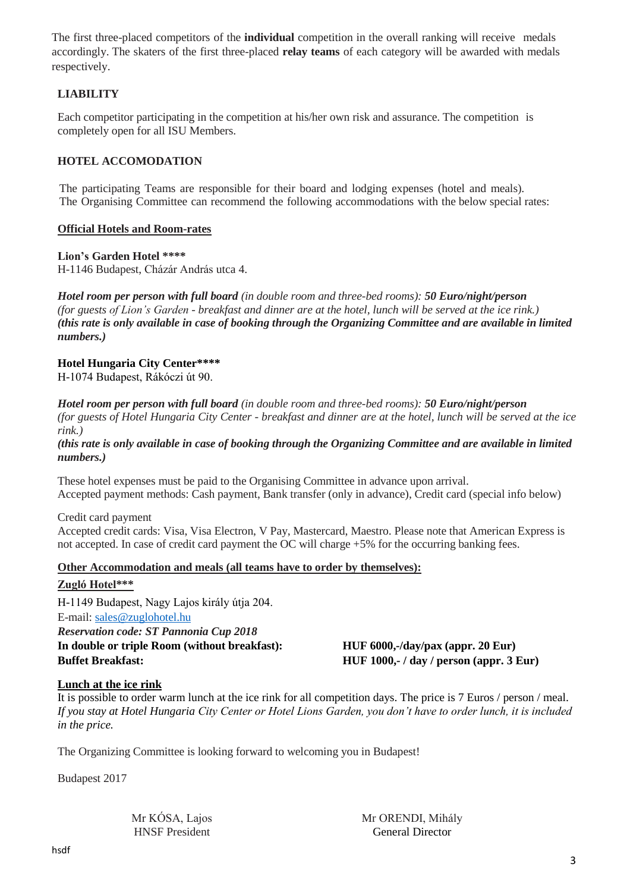The first three-placed competitors of the **individual** competition in the overall ranking will receive medals accordingly. The skaters of the first three-placed **relay teams** of each category will be awarded with medals respectively.

### **LIABILITY**

Each competitor participating in the competition at his/her own risk and assurance. The competition is completely open for all ISU Members.

#### **HOTEL ACCOMODATION**

The participating Teams are responsible for their board and lodging expenses (hotel and meals). The Organising Committee can recommend the following accommodations with the below special rates:

#### **Official Hotels and Room-rates**

#### **Lion's Garden Hotel \*\*\*\***

H-1146 Budapest, Cházár András utca 4.

*Hotel room per person with full board (in double room and three-bed rooms): 50 Euro/night/person (for guests of Lion's Garden - breakfast and dinner are at the hotel, lunch will be served at the ice rink.) (this rate is only available in case of booking through the Organizing Committee and are available in limited numbers.)*

#### **Hotel Hungaria City Center\*\*\*\***

H-1074 Budapest, Rákóczi út 90.

*Hotel room per person with full board (in double room and three-bed rooms): 50 Euro/night/person (for guests of Hotel Hungaria City Center - breakfast and dinner are at the hotel, lunch will be served at the ice rink.)*

*(this rate is only available in case of booking through the Organizing Committee and are available in limited numbers.)*

These hotel expenses must be paid to the Organising Committee in advance upon arrival. Accepted payment methods: Cash payment, Bank transfer (only in advance), Credit card (special info below)

Credit card payment

Accepted credit cards: Visa, Visa Electron, V Pay, Mastercard, Maestro. Please note that American Express is not accepted. In case of credit card payment the OC will charge +5% for the occurring banking fees.

#### **Other Accommodation and meals (all teams have to order by themselves):**

#### **Zugló Hotel\*\*\***

H-1149 Budapest, Nagy Lajos király útja 204. E-mail[: sales@zuglohotel.hu](mailto:sales@zuglohotel.hu) *Reservation code: ST Pannonia Cup 2018* **In double or triple Room (without breakfast): HUF 6000,-/day/pax (appr. 20 Eur)**

**Buffet Breakfast: HUF 1000,- / day / person (appr. 3 Eur)**

#### **Lunch at the ice rink**

It is possible to order warm lunch at the ice rink for all competition days. The price is 7 Euros / person / meal. *If you stay at Hotel Hungaria City Center or Hotel Lions Garden, you don't have to order lunch, it is included in the price.*

The Organizing Committee is looking forward to welcoming you in Budapest!

Budapest 2017

Mr KÓSA, Lajos Mr ORENDI, Mihály

HNSF President General Director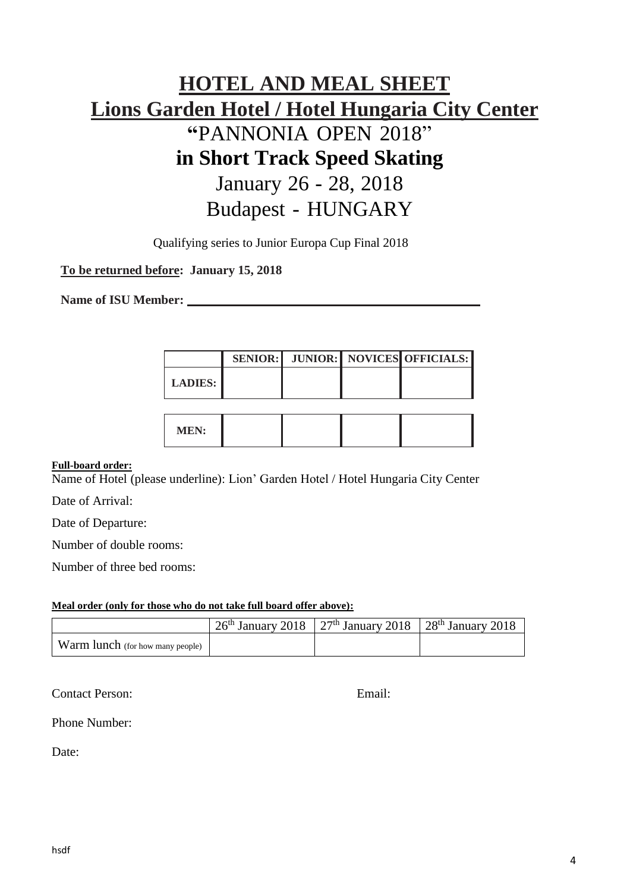# **HOTEL AND MEAL SHEET Lions Garden Hotel / Hotel Hungaria City Center "**PANNONIA OPEN 2018" **in Short Track Speed Skating** January 26 - 28, 2018 Budapest - HUNGARY

Qualifying series to Junior Europa Cup Final 2018

## **To be returned before: January 15, 2018**

**Name of ISU Member:**

|                |  | SENIOR: JUNIOR:   NOVICES OFFICIALS: |
|----------------|--|--------------------------------------|
| <b>LADIES:</b> |  |                                      |
|                |  |                                      |

**MEN:**

#### **Full-board order:**

Name of Hotel (please underline): Lion' Garden Hotel / Hotel Hungaria City Center

Date of Arrival:

Date of Departure:

Number of double rooms:

Number of three bed rooms:

#### **Meal order (only for those who do not take full board offer above):**

|                                  | $26th$ January 2018   27 <sup>th</sup> January 2018   28 <sup>th</sup> January 2018 |  |
|----------------------------------|-------------------------------------------------------------------------------------|--|
| Warm lunch (for how many people) |                                                                                     |  |

Contact Person: Email:

Phone Number:

Date: